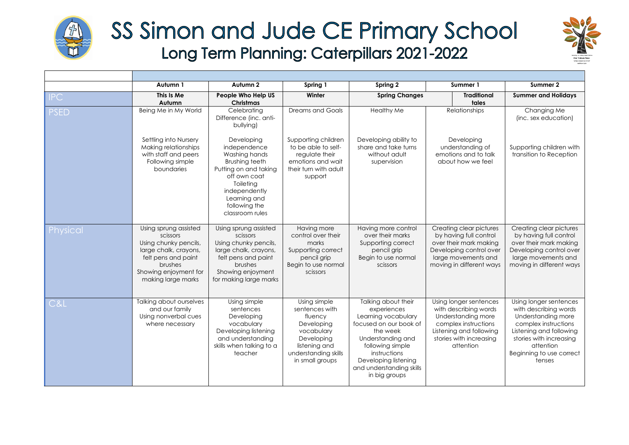

## SS Simon and Jude CE Primary School Long Term Planning: Caterpillars 2021-2022



|             | Autumn 1                                                                                                                                                             | Autumn 2                                                                                                                                                                                 | Spring 1                                                                                                                                        | Spring 2                                                                                                                                                                                                                      | Summer 1                                                                                                                                                         | Summer 2                                                                                                                                                                                               |
|-------------|----------------------------------------------------------------------------------------------------------------------------------------------------------------------|------------------------------------------------------------------------------------------------------------------------------------------------------------------------------------------|-------------------------------------------------------------------------------------------------------------------------------------------------|-------------------------------------------------------------------------------------------------------------------------------------------------------------------------------------------------------------------------------|------------------------------------------------------------------------------------------------------------------------------------------------------------------|--------------------------------------------------------------------------------------------------------------------------------------------------------------------------------------------------------|
| IPC         | This Is Me<br>Autumn                                                                                                                                                 | People Who Help US<br>Christmas                                                                                                                                                          | Winter                                                                                                                                          | <b>Spring Changes</b>                                                                                                                                                                                                         | <b>Traditional</b><br>tales                                                                                                                                      | <b>Summer and Holidays</b>                                                                                                                                                                             |
| <b>PSED</b> | Being Me in My World                                                                                                                                                 | Celebrating<br>Difference (inc. anti-<br>bullying)                                                                                                                                       | <b>Dreams and Goals</b>                                                                                                                         | <b>Healthy Me</b>                                                                                                                                                                                                             | Relationships                                                                                                                                                    | Changing Me<br>(inc. sex education)                                                                                                                                                                    |
|             | Settling into Nursery<br>Making relationships<br>with staff and peers<br>Following simple<br>boundaries                                                              | Developing<br>independence<br>Washing hands<br>Brushing teeth<br>Putting on and taking<br>off own coat<br>Toileting<br>independently<br>Learning and<br>following the<br>classroom rules | Supporting children<br>to be able to self-<br>regulate their<br>emotions and wait<br>their turn with adult<br>support                           | Developing ability to<br>share and take turns<br>without adult<br>supervision                                                                                                                                                 | Developing<br>understanding of<br>emotions and to talk<br>about how we feel                                                                                      | Supporting children with<br>transition to Reception                                                                                                                                                    |
| Physical    | Using sprung assisted<br>scissors<br>Using chunky pencils,<br>large chalk, crayons,<br>felt pens and paint<br>brushes<br>Showing enjoyment for<br>making large marks | Using sprung assisted<br>scissors<br>Using chunky pencils,<br>large chalk, crayons,<br>felt pens and paint<br><b>brushes</b><br>Showing enjoyment<br>for making large marks              | Having more<br>control over their<br>marks<br>Supporting correct<br>pencil grip<br>Begin to use normal<br>scissors                              | Having more control<br>over their marks<br>Supporting correct<br>pencil grip<br>Begin to use normal<br>scissors                                                                                                               | Creating clear pictures<br>by having full control<br>over their mark making<br>Developing control over<br>large movements and<br>moving in different ways        | Creating clear pictures<br>by having full control<br>over their mark making<br>Developing control over<br>large movements and<br>moving in different ways                                              |
| C&L         | Talking about ourselves<br>and our family<br>Using nonverbal cues<br>where necessary                                                                                 | Using simple<br>sentences<br>Developing<br>vocabulary<br>Developing listening<br>and understanding<br>skills when talking to a<br>teacher                                                | Using simple<br>sentences with<br>fluency<br>Developing<br>vocabulary<br>Developing<br>listening and<br>understanding skills<br>in small groups | Talking about their<br>experiences<br>Learning vocabulary<br>focused on our book of<br>the week<br>Understanding and<br>following simple<br>instructions<br>Developing listening<br>and understanding skills<br>in big groups | Using longer sentences<br>with describing words<br>Understanding more<br>complex instructions<br>Listening and following<br>stories with increasing<br>attention | Using longer sentences<br>with describing words<br>Understanding more<br>complex instructions<br>Listening and following<br>stories with increasing<br>attention<br>Beginning to use correct<br>tenses |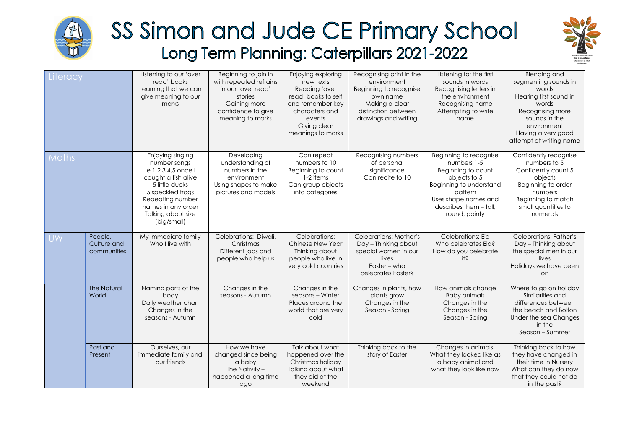

## SS Simon and Jude CE Primary School Long Term Planning: Caterpillars 2021-2022



| Literacy  |                                       | Listening to our 'over<br>read' books<br>Learning that we can<br>give meaning to our<br>marks                                                                                                       | Beginning to join in<br>with repeated refrains<br>in our 'over read'<br>stories<br>Gaining more<br>confidence to give<br>meaning to marks | Enjoying exploring<br>new texts<br>Reading 'over<br>read' books to self<br>and remember key<br>characters and<br>events<br>Giving clear<br>meanings to marks | Recognising print in the<br>environment<br>Beginning to recognise<br>own name<br>Making a clear<br>distinction between<br>drawings and writing | Listening for the first<br>sounds in words<br>Recognising letters in<br>the environment<br>Recognising name<br>Attempting to write<br>name                                           | <b>Blending and</b><br>segmenting sounds in<br>words<br>Hearing first sound in<br>words<br>Recognising more<br>sounds in the<br>environment<br>Having a very good<br>attempt at writing name |
|-----------|---------------------------------------|-----------------------------------------------------------------------------------------------------------------------------------------------------------------------------------------------------|-------------------------------------------------------------------------------------------------------------------------------------------|--------------------------------------------------------------------------------------------------------------------------------------------------------------|------------------------------------------------------------------------------------------------------------------------------------------------|--------------------------------------------------------------------------------------------------------------------------------------------------------------------------------------|----------------------------------------------------------------------------------------------------------------------------------------------------------------------------------------------|
| Maths     |                                       | Enjoying singing<br>number songs<br>le 1,2,3,4,5 once l<br>caught a fish alive<br>5 little ducks<br>5 speckled frogs<br>Repeating number<br>names in any order<br>Talking about size<br>(big/small) | Developing<br>understanding of<br>numbers in the<br>environment<br>Using shapes to make<br>pictures and models                            | Can repeat<br>numbers to 10<br>Beginning to count<br>1-2 items<br>Can group objects<br>into categories                                                       | Recognising numbers<br>of personal<br>significance<br>Can recite to 10                                                                         | Beginning to recognise<br>numbers 1-5<br>Beginning to count<br>objects to 5<br>Beginning to understand<br>pattern<br>Uses shape names and<br>describes them - tall,<br>round, pointy | Confidently recognise<br>numbers to 5<br>Confidently count 5<br>objects<br>Beginning to order<br>numbers<br>Beginning to match<br>small quantities to<br>numerals                            |
| <b>UW</b> | People,<br>Culture and<br>communities | My immediate family<br>Who I live with                                                                                                                                                              | Celebrations: Diwali,<br>Christmas<br>Different jobs and<br>people who help us                                                            | Celebrations:<br>Chinese New Year<br>Thinking about<br>people who live in<br>very cold countries                                                             | Celebrations: Mother's<br>Day - Thinking about<br>special women in our<br>lives<br>Easter – who<br>celebrates Easter?                          | Celebrations: Eid<br>Who celebrates Eid?<br>How do you celebrate<br>ił ś                                                                                                             | Celebrations: Father's<br>Day - Thinking about<br>the special men in our<br>lives<br>Holidays we have been<br>on                                                                             |
|           | <b>The Natural</b><br>World           | Naming parts of the<br>body<br>Daily weather chart<br>Changes in the<br>seasons - Autumn                                                                                                            | Changes in the<br>seasons - Autumn                                                                                                        | Changes in the<br>seasons - Winter<br>Places around the<br>world that are very<br>cold                                                                       | Changes in plants, how<br>plants grow<br>Changes in the<br>Season - Spring                                                                     | How animals change<br><b>Baby animals</b><br>Changes in the<br>Changes in the<br>Season - Spring                                                                                     | Where to go on holiday<br>Similarities and<br>differences between<br>the beach and Bolton<br>Under the sea Changes<br>in the<br>Season – Summer                                              |
|           | Past and<br>Present                   | Ourselves, our<br>immediate family and<br>our friends                                                                                                                                               | How we have<br>changed since being<br>a baby<br>The Nativity $-$<br>happened a long time<br>ago                                           | Talk about what<br>happened over the<br>Christmas holiday<br>Talking about what<br>they did at the<br>weekend                                                | Thinking back to the<br>story of Easter                                                                                                        | Changes in animals.<br>What they looked like as<br>a baby animal and<br>what they look like now                                                                                      | Thinking back to how<br>they have changed in<br>their time in Nursery<br>What can they do now<br>that they could not do<br>in the past?                                                      |